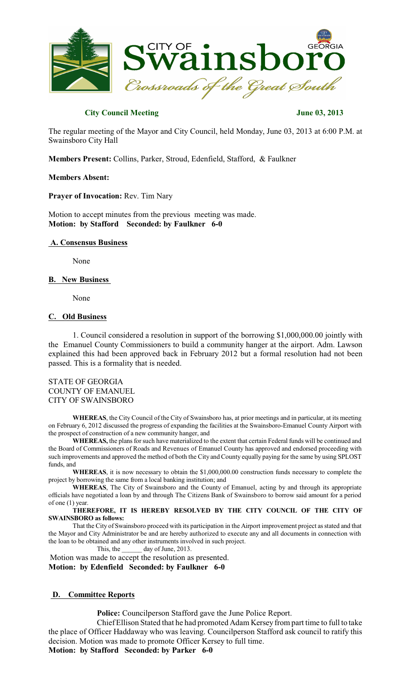

# **City Council Meeting June 03, 2013**

The regular meeting of the Mayor and City Council, held Monday, June 03, 2013 at 6:00 P.M. at Swainsboro City Hall

**Members Present:** Collins, Parker, Stroud, Edenfield, Stafford, & Faulkner

## **Members Absent:**

**Prayer of Invocation:** Rev. Tim Nary

Motion to accept minutes from the previous meeting was made. **Motion: by Stafford Seconded: by Faulkner 6-0**

# **A. Consensus Business**

None

## **B. New Business**

None

# **C. Old Business**

1. Council considered a resolution in support of the borrowing \$1,000,000.00 jointly with the Emanuel County Commissioners to build a community hanger at the airport. Adm. Lawson explained this had been approved back in February 2012 but a formal resolution had not been passed. This is a formality that is needed.

STATE OF GEORGIA COUNTY OF EMANUEL CITY OF SWAINSBORO

**WHEREAS**, the City Council of the City of Swainsboro has, at prior meetings and in particular, at its meeting on February 6, 2012 discussed the progress of expanding the facilities at the Swainsboro-Emanuel County Airport with the prospect of construction of a new community hanger, and

WHEREAS, the plans for such have materialized to the extent that certain Federal funds will be continued and the Board of Commissioners of Roads and Revenues of Emanuel County has approved and endorsed proceeding with such improvements and approved the method of both the City and County equally paying for the same by using SPLOST funds, and

**WHEREAS**, it is now necessary to obtain the \$1,000,000.00 construction funds necessary to complete the project by borrowing the same from a local banking institution; and

**WHEREAS**, The City of Swainsboro and the County of Emanuel, acting by and through its appropriate officials have negotiated a loan by and through The Citizens Bank of Swainsboro to borrow said amount for a period of one (1) year.

**THEREFORE, IT IS HEREBY RESOLVED BY THE CITY COUNCIL OF THE CITY OF SWAINSBORO as follows:**

That the City of Swainsboro proceed with its participation in the Airport improvement project asstated and that the Mayor and City Administrator be and are hereby authorized to execute any and all documents in connection with the loan to be obtained and any other instruments involved in such project.

This, the day of June, 2013.

Motion was made to accept the resolution as presented. **Motion: by Edenfield Seconded: by Faulkner 6-0**

# **D. Committee Reports**

**Police:** Councilperson Stafford gave the June Police Report.

Chief Ellison Stated that he had promoted Adam Kersey from part time to full to take the place of Officer Haddaway who was leaving. Councilperson Stafford ask council to ratify this decision. Motion was made to promote Officer Kersey to full time.

**Motion: by Stafford Seconded: by Parker 6-0**